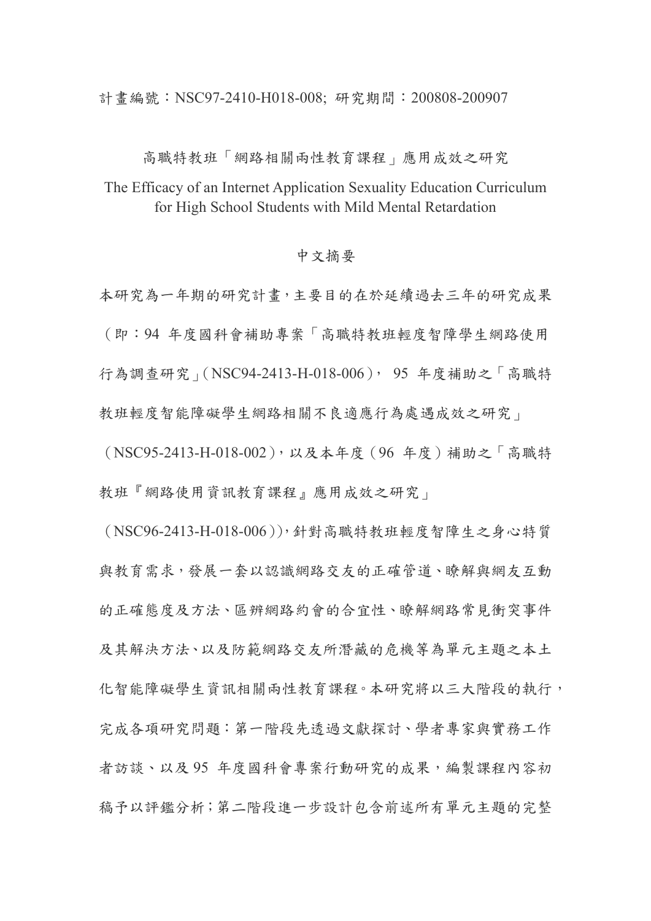計畫編號: NSC97-2410-H018-008; 研究期間: 200808-200907

高職特教班「網路相關兩性教育課程」應用成效之研究

The Efficacy of an Internet Application Sexuality Education Curriculum for High School Students with Mild Mental Retardation

## 中文摘要

本研究為一年期的研究計畫,主要目的在於延續過去三年的研究成果 (即:94 年度國科會補助專案「高職特教班輕度智障學生網路使用 行為調查研究」(NSC94-2413-H-018-006), 95 年度補助之「高職特 教班輕度智能障礙學生網路相關不良適應行為處遇成效之研究」

(NSC95-2413-H-018-002),以及本年度(96 年度)補助之「高職特 教班『網路使用資訊教育課程』應用成效之研究」

(NSC96-2413-H-018-006)),針對高職特教班輕度智障生之身心特質 與教育需求,發展一套以認識網路交友的正確管道、瞭解與網友互動 的正確態度及方法、區辨網路約會的合宜性、瞭解網路常見衝突事件 及其解決方法、以及防範網路交友所潛藏的危機等為單元主題之本土 化智能障礙學生資訊相關兩性教育課程。本研究將以三大階段的執行, 完成各項研究問題:第一階段先透過文獻探討、學者專家與實務工作 者訪談、以及 95 年度國科會專案行動研究的成果,編製課程內容初 稿予以評鑑分析;第二階段進一步設計包含前述所有單元主題的完整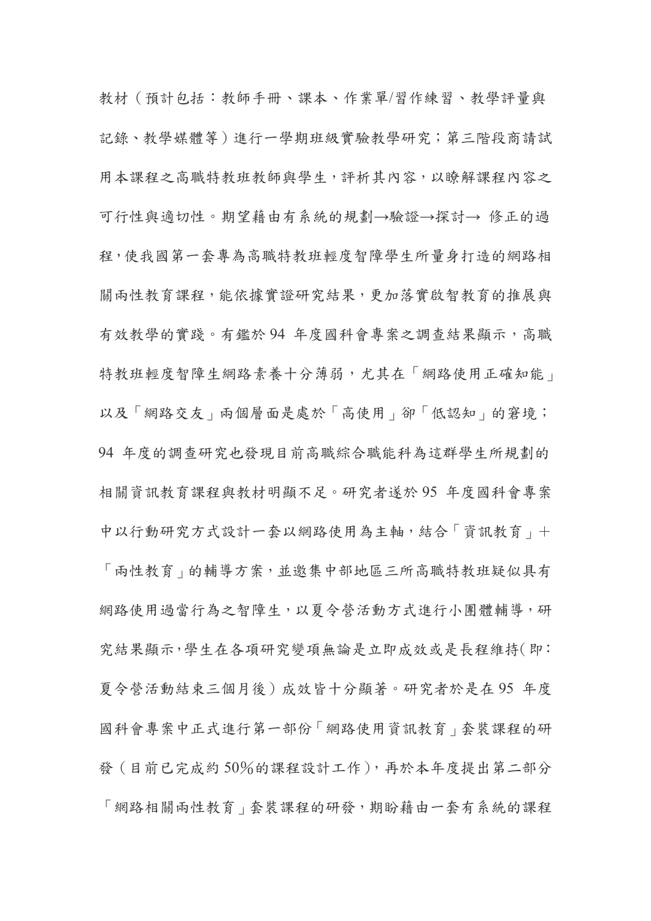教材(預計包括:教師手冊、課本、作業單/習作練習、教學評量與 記錄、教學媒體等)進行一學期班級實驗教學研究;第三階段商請試 用本課程之高職特教班教師與學生,評析其內容,以瞭解課程內容之 可行性與適切性。期望藉由有系統的規劃→驗證→探討→ 修正的過 程,使我國第一套專為高職特教班輕度智障學生所量身打造的網路相 關兩性教育課程,能依據實證研究結果,更加落實啟智教育的推展與 有效教學的實踐。有鑑於 94 年度國科會專案之調查結果顯示,高職 特教班輕度智障生網路素養十分薄弱,尤其在「網路使用正確知能」 以及「網路交友」兩個層面是處於「高使用」卻「低認知」的窘境; 94 年度的調查研究也發現目前高職綜合職能科為這群學生所規劃的 相關資訊教育課程與教材明顯不足。研究者遂於 95 年度國科會專案 中以行動研究方式設計一套以網路使用為主軸,結合「資訊教育」+ 「兩性教育」的輔導方案,並邀集中部地區三所高職特教班疑似具有 網路使用過當行為之智障生,以夏令營活動方式進行小團體輔導,研 究結果顯示,學生在各項研究變項無論是立即成效或是長程維持(即: 夏令營活動結束三個月後)成效皆十分顯著。研究者於是在 95 年度 國科會專案中正式進行第一部份「網路使用資訊教育」套裝課程的研 發(目前已完成約 50%的課程設計工作),再於本年度提出第二部分 「網路相關兩性教育」套裝課程的研發,期盼藉由一套有系統的課程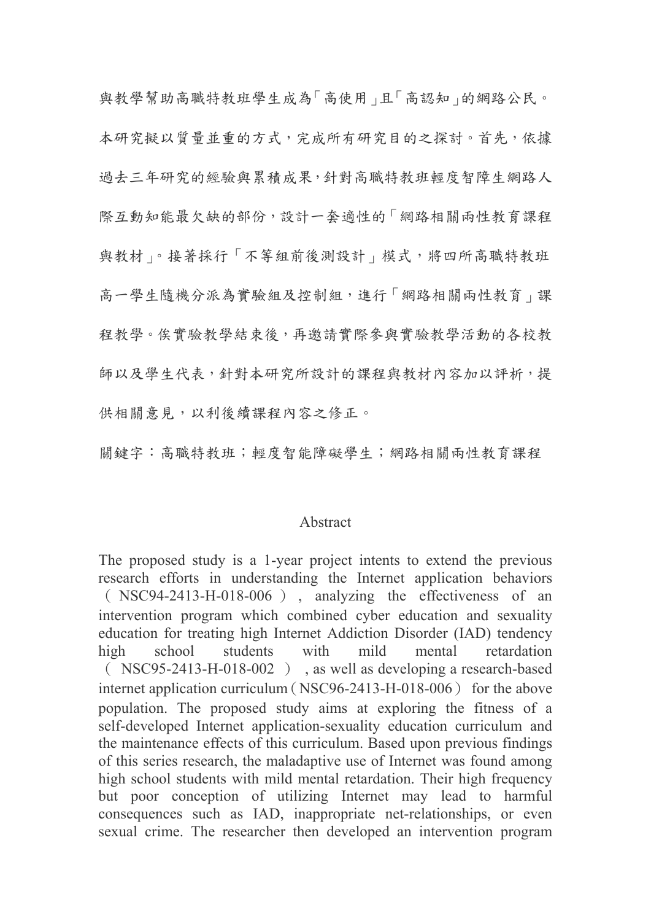與教學幫助高職特教班學生成為「高使用」且「高認知」的網路公民。 本研究擬以質量並重的方式,完成所有研究目的之探討。首先,依據 過去三年研究的經驗與累積成果,針對高職特教班輕度智障生網路人 際互動知能最欠缺的部份,設計一套適性的「網路相關兩性教育課程 與教材」。接著採行「不等組前後測設計」模式,將四所高職特教班 高一學生隨機分派為實驗組及控制組,進行「網路相關兩性教育」課 程教學。俟實驗教學結束後,再邀請實際參與實驗教學活動的各校教 師以及學生代表,針對本研究所設計的課程與教材內容加以評析,提 供相關意見,以利後續課程內容之修正。

關鍵字:高職特教班;輕度智能障礙學生;網路相關兩性教育課程

## Abstract

The proposed study is a 1-year project intents to extend the previous research efforts in understanding the Internet application behaviors ( NSC94-2413-H-018-006 ) , analyzing the effectiveness of an intervention program which combined cyber education and sexuality education for treating high Internet Addiction Disorder (IAD) tendency high school students with mild mental retardation ( NSC95-2413-H-018-002 ) , as well as developing a research-based internet application curriculum (NSC96-2413-H-018-006) for the above population. The proposed study aims at exploring the fitness of a self-developed Internet application-sexuality education curriculum and the maintenance effects of this curriculum. Based upon previous findings of this series research, the maladaptive use of Internet was found among high school students with mild mental retardation. Their high frequency but poor conception of utilizing Internet may lead to harmful consequences such as IAD, inappropriate net-relationships, or even sexual crime. The researcher then developed an intervention program